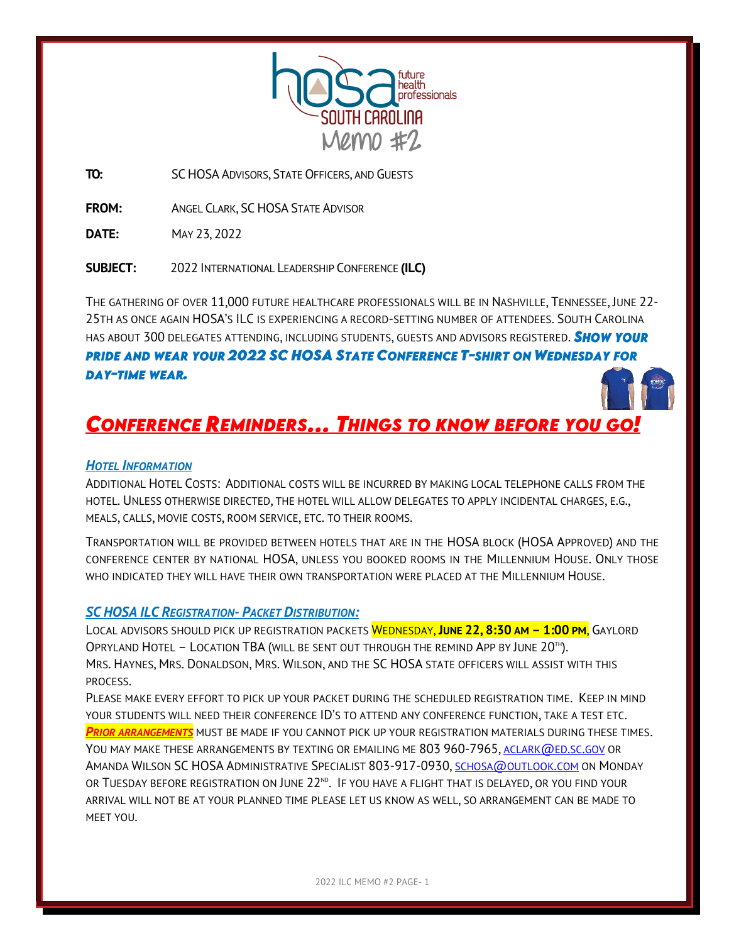

**TO:** SC HOSA ADVISORS, STATE OFFICERS, AND GUESTS

**FROM:** ANGEL CLARK, SC HOSA STATE ADVISOR

**DATE:** MAY 23, 2022

**SUBJECT:** 2022 INTERNATIONAL LEADERSHIP CONFERENCE **(ILC)**

THE GATHERING OF OVER 11,000 FUTURE HEALTHCARE PROFESSIONALS WILL BE IN NASHVILLE, TENNESSEE, JUNE 22- 25TH AS ONCE AGAIN HOSA'S ILC IS EXPERIENCING A RECORD-SETTING NUMBER OF ATTENDEES. SOUTH CAROLINA HAS ABOUT 300 DELEGATES ATTENDING, INCLUDING STUDENTS, GUESTS AND ADVISORS REGISTERED. **SHOW YOUR PRIDE AND WEAR YOUR 2022 SC HOSA STATE CONFERENCE T-SHIRT ON WEDNESDAY FOR DAY-TIME WEAR.** 

## **CONFERENCE REMINDERS... THINGS TO KNOW BEFORE YOU GO!**

### *HOTEL INFORMATION*

ADDITIONAL HOTEL COSTS: ADDITIONAL COSTS WILL BE INCURRED BY MAKING LOCAL TELEPHONE CALLS FROM THE HOTEL. UNLESS OTHERWISE DIRECTED, THE HOTEL WILL ALLOW DELEGATES TO APPLY INCIDENTAL CHARGES, E.G., MEALS, CALLS, MOVIE COSTS, ROOM SERVICE, ETC. TO THEIR ROOMS.

TRANSPORTATION WILL BE PROVIDED BETWEEN HOTELS THAT ARE IN THE HOSA BLOCK (HOSA APPROVED) AND THE CONFERENCE CENTER BY NATIONAL HOSA, UNLESS YOU BOOKED ROOMS IN THE MILLENNIUM HOUSE. ONLY THOSE WHO INDICATED THEY WILL HAVE THEIR OWN TRANSPORTATION WERE PLACED AT THE MILLENNIUM HOUSE.

### *SC HOSA ILC REGISTRATION- PACKET DISTRIBUTION:*

LOCAL ADVISORS SHOULD PICK UP REGISTRATION PACKETS WEDNESDAY, **JUNE 22, 8:30 AM – 1:00 PM**, GAYLORD OPRYLAND HOTEL - LOCATION TBA (WILL BE SENT OUT THROUGH THE REMIND APP BY JUNE 20TH). MRS. HAYNES, MRS. DONALDSON, MRS. WILSON, AND THE SC HOSA STATE OFFICERS WILL ASSIST WITH THIS PROCESS.

PLEASE MAKE EVERY EFFORT TO PICK UP YOUR PACKET DURING THE SCHEDULED REGISTRATION TIME. KEEP IN MIND YOUR STUDENTS WILL NEED THEIR CONFERENCE ID'S TO ATTEND ANY CONFERENCE FUNCTION, TAKE A TEST ETC. *PRIOR ARRANGEMENTS* MUST BE MADE IF YOU CANNOT PICK UP YOUR REGISTRATION MATERIALS DURING THESE TIMES. YOU MAY MAKE THESE ARRANGEMENTS BY TEXTING OR EMAILING ME 803 960-7965, [ACLARK](mailto:aclark@ed.sc.gov)@ED.SC.GOV OR AMANDA WILSON SC HOSA ADMINISTRATIVE SPECIALIST 803-917-0930, SCHOSA@[OUTLOOK](mailto:schosa@outlook.com).COM ON MONDAY OR  $T$ UESDAY BEFORE REGISTRATION ON JUNE  $22^{\text{\tiny{ND}}}$ . If you have a flight that is delayed, or you find your ARRIVAL WILL NOT BE AT YOUR PLANNED TIME PLEASE LET US KNOW AS WELL, SO ARRANGEMENT CAN BE MADE TO MEET YOU.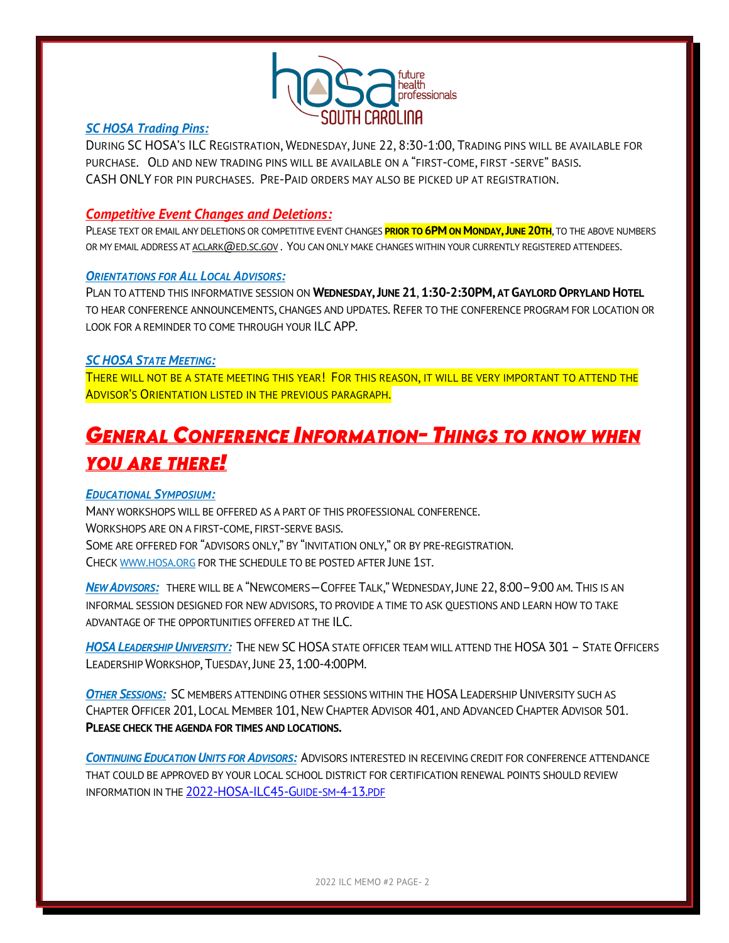

### *SC HOSA Trading Pins:*

DURING SC HOSA'S ILC REGISTRATION, WEDNESDAY, JUNE 22, 8:30-1:00, TRADING PINS WILL BE AVAILABLE FOR PURCHASE. OLD AND NEW TRADING PINS WILL BE AVAILABLE ON A "FIRST-COME, FIRST -SERVE" BASIS. CASH ONLY FOR PIN PURCHASES. PRE-PAID ORDERS MAY ALSO BE PICKED UP AT REGISTRATION.

### *Competitive Event Changes and Deletions:*

PLEASE TEXT OR EMAIL ANY DELETIONS OR COMPETITIVE EVENT CHANGES **PRIOR TO 6PM ON MONDAY,JUNE 20TH**, TO THE ABOVE NUMBERS OR MY EMAIL ADDRESS A[T ACLARK](mailto:aclark@ed.sc.gov) @ED.SC.GOV. YOU CAN ONLY MAKE CHANGES WITHIN YOUR CURRENTLY REGISTERED ATTENDEES.

### *ORIENTATIONS FOR ALL LOCAL ADVISORS:*

PLAN TO ATTEND THIS INFORMATIVE SESSION ON **WEDNESDAY,JUNE 21**, **1:30-2:30PM, AT GAYLORD OPRYLAND HOTEL**  TO HEAR CONFERENCE ANNOUNCEMENTS, CHANGES AND UPDATES. REFER TO THE CONFERENCE PROGRAM FOR LOCATION OR LOOK FOR A REMINDER TO COME THROUGH YOUR ILC APP.

### *SC HOSA STATE MEETING:*

THERE WILL NOT BE A STATE MEETING THIS YEAR! FOR THIS REASON, IT WILL BE VERY IMPORTANT TO ATTEND THE ADVISOR'S ORIENTATION LISTED IN THE PREVIOUS PARAGRAPH.

# **GENERAL CONFERENCE INFORMATION- THINGS TO KNOW WHEN YOU ARE THERE!**

### *EDUCATIONAL SYMPOSIUM:*

MANY WORKSHOPS WILL BE OFFERED AS A PART OF THIS PROFESSIONAL CONFERENCE. WORKSHOPS ARE ON A FIRST-COME, FIRST-SERVE BASIS. SOME ARE OFFERED FOR "ADVISORS ONLY," BY "INVITATION ONLY," OR BY PRE-REGISTRATION. CHEC[K WWW](http://www.hosa.org/).HOSA.ORG FOR THE SCHEDULE TO BE POSTED AFTER JUNE 1ST.

*NEW ADVISORS:* THERE WILL BE A "NEWCOMERS—COFFEE TALK," WEDNESDAY, JUNE 22, 8:00–9:00 AM. THIS IS AN INFORMAL SESSION DESIGNED FOR NEW ADVISORS, TO PROVIDE A TIME TO ASK QUESTIONS AND LEARN HOW TO TAKE ADVANTAGE OF THE OPPORTUNITIES OFFERED AT THE ILC.

*HOSA LEADERSHIP UNIVERSITY:*THE NEW SC HOSA STATE OFFICER TEAM WILL ATTEND THE HOSA 301– STATE OFFICERS LEADERSHIP WORKSHOP, TUESDAY, JUNE 23, 1:00-4:00PM.

*OTHER SESSIONS:* SC MEMBERS ATTENDING OTHER SESSIONS WITHIN THE HOSA LEADERSHIP UNIVERSITY SUCH AS CHAPTER OFFICER 201, LOCAL MEMBER 101,NEW CHAPTER ADVISOR 401, AND ADVANCED CHAPTER ADVISOR 501. **PLEASE CHECK THE AGENDA FOR TIMES AND LOCATIONS.**

*CONTINUING EDUCATION UNITS FOR ADVISORS:*ADVISORS INTERESTED IN RECEIVING CREDIT FOR CONFERENCE ATTENDANCE THAT COULD BE APPROVED BY YOUR LOCAL SCHOOL DISTRICT FOR CERTIFICATION RENEWAL POINTS SHOULD REVIEW INFORMATION IN THE [2022-HOSA-ILC45-G](https://hosa.org/wp-content/uploads/2022/04/2022-HOSA-ILC45-Guide-sm-4-13.pdf)UIDE-SM-4-13.PDF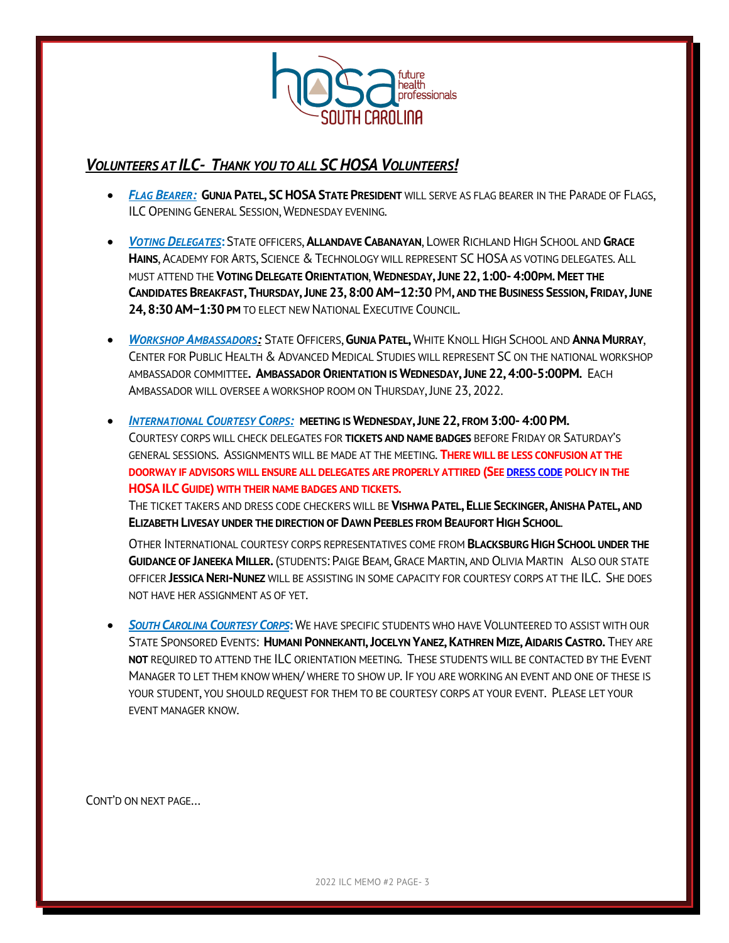

### *VOLUNTEERS AT ILC- THANK YOU TO ALL SC HOSA VOLUNTEERS!*

- *FLAG BEARER:* **GUNJA PATEL, SCHOSA STATE PRESIDENT** WILL SERVE AS FLAG BEARER IN THE PARADE OF FLAGS, ILC OPENING GENERAL SESSION, WEDNESDAY EVENING.
- *VOTING DELEGATES***:** STATE OFFICERS, **ALLANDAVE CABANAYAN**, LOWER RICHLAND HIGH SCHOOL AND **GRACE HAINS**, ACADEMY FOR ARTS, SCIENCE & TECHNOLOGY WILL REPRESENT SC HOSA AS VOTING DELEGATES. ALL MUST ATTEND THE **VOTING DELEGATE ORIENTATION**, **WEDNESDAY,JUNE 22, 1:00- 4:00PM. MEET THE**  CANDIDATES BREAKFAST, THURSDAY, JUNE 23, 8:00 AM-12:30 PM, AND THE BUSINESS SESSION, FRIDAY, JUNE **24, 8:30 AM−1:30 PM** TO ELECT NEW NATIONAL EXECUTIVE COUNCIL.
- *WORKSHOP AMBASSADORS:* STATE OFFICERS, **GUNJA PATEL,** WHITE KNOLL HIGH SCHOOL AND **ANNA MURRAY**, CENTER FOR PUBLIC HEALTH & ADVANCED MEDICAL STUDIES WILL REPRESENT SC ON THE NATIONAL WORKSHOP AMBASSADOR COMMITTEE**. AMBASSADOR ORIENTATION IS WEDNESDAY,JUNE 22, 4:00-5:00PM.** EACH AMBASSADOR WILL OVERSEE A WORKSHOP ROOM ON THURSDAY, JUNE 23, 2022.
- *INTERNATIONAL COURTESY CORPS:* **MEETING IS WEDNESDAY,JUNE 22, FROM 3:00- 4:00 PM.** COURTESY CORPS WILL CHECK DELEGATES FOR **TICKETS AND NAME BADGES** BEFORE FRIDAY OR SATURDAY'S GENERAL SESSIONS. ASSIGNMENTS WILL BE MADE AT THE MEETING. **THERE WILL BE LESS CONFUSION AT THE DOORWAY IF ADVISORS WILL ENSURE ALL DELEGATES ARE PROPERLY ATTIRED (SE[E DRESS CODE](http://www.schosa.org/wp-content/uploads/2022/03/ILC-DressCode.pdf) POLICY IN THE HOSA ILC GUIDE) WITH THEIR NAME BADGES AND TICKETS.**

THE TICKET TAKERS AND DRESS CODE CHECKERS WILL BE **VISHWA PATEL, ELLIE SECKINGER, ANISHA PATEL, AND ELIZABETH LIVESAY UNDER THE DIRECTION OF DAWN PEEBLES FROM BEAUFORT HIGH SCHOOL**.

OTHER INTERNATIONAL COURTESY CORPS REPRESENTATIVES COME FROM **BLACKSBURG HIGH SCHOOL UNDER THE GUIDANCE OF JANEEKA MILLER.** (STUDENTS: PAIGE BEAM, GRACE MARTIN, AND OLIVIA MARTIN ALSO OUR STATE OFFICER **JESSICA NERI-NUNEZ** WILL BE ASSISTING IN SOME CAPACITY FOR COURTESY CORPS AT THE ILC. SHE DOES NOT HAVE HER ASSIGNMENT AS OF YET.

**•** *SOUTH CAROLINA COURTESY CORPS***:** WE HAVE SPECIFIC STUDENTS WHO HAVE VOLUNTEERED TO ASSIST WITH OUR STATE SPONSORED EVENTS: HUMANI PONNEKANTI, JOCELYN YANEZ, KATHREN MIZE, AIDARIS CASTRO. THEY ARE **NOT** REQUIRED TO ATTEND THE ILC ORIENTATION MEETING. THESE STUDENTS WILL BE CONTACTED BY THE EVENT MANAGER TO LET THEM KNOW WHEN/ WHERE TO SHOW UP. IF YOU ARE WORKING AN EVENT AND ONE OF THESE IS YOUR STUDENT, YOU SHOULD REOUEST FOR THEM TO BE COURTESY CORPS AT YOUR EVENT. PLEASE LET YOUR EVENT MANAGER KNOW.

CONT'D ON NEXT PAGE…